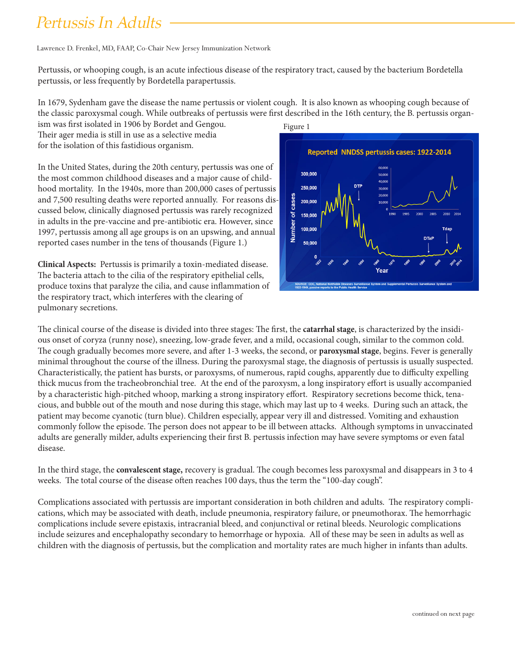## *Pertussis In Adults*

Lawrence D. Frenkel, MD, FAAP, Co-Chair New Jersey Immunization Network

Pertussis, or whooping cough, is an acute infectious disease of the respiratory tract, caused by the bacterium Bordetella pertussis, or less frequently by Bordetella parapertussis.

In 1679, Sydenham gave the disease the name pertussis or violent cough. It is also known as whooping cough because of the classic paroxysmal cough. While outbreaks of pertussis were first described in the 16th century, the B. pertussis organ-

ism was first isolated in 1906 by Bordet and Gengou. Their ager media is still in use as a selective media for the isolation of this fastidious organism.

In the United States, during the 20th century, pertussis was one of the most common childhood diseases and a major cause of childhood mortality. In the 1940s, more than 200,000 cases of pertussis and 7,500 resulting deaths were reported annually. For reasons discussed below, clinically diagnosed pertussis was rarely recognized in adults in the pre-vaccine and pre-antibiotic era. However, since 1997, pertussis among all age groups is on an upswing, and annual reported cases number in the tens of thousands (Figure 1.)

**Clinical Aspects:** Pertussis is primarily a toxin-mediated disease. The bacteria attach to the cilia of the respiratory epithelial cells, produce toxins that paralyze the cilia, and cause inflammation of the respiratory tract, which interferes with the clearing of pulmonary secretions.





The clinical course of the disease is divided into three stages: The first, the **catarrhal stage**, is characterized by the insidious onset of coryza (runny nose), sneezing, low-grade fever, and a mild, occasional cough, similar to the common cold. The cough gradually becomes more severe, and after 1-3 weeks, the second, or **paroxysmal stage**, begins. Fever is generally minimal throughout the course of the illness. During the paroxysmal stage, the diagnosis of pertussis is usually suspected. Characteristically, the patient has bursts, or paroxysms, of numerous, rapid coughs, apparently due to difficulty expelling thick mucus from the tracheobronchial tree. At the end of the paroxysm, a long inspiratory effort is usually accompanied by a characteristic high-pitched whoop, marking a strong inspiratory effort. Respiratory secretions become thick, tenacious, and bubble out of the mouth and nose during this stage, which may last up to 4 weeks. During such an attack, the patient may become cyanotic (turn blue). Children especially, appear very ill and distressed. Vomiting and exhaustion commonly follow the episode. The person does not appear to be ill between attacks. Although symptoms in unvaccinated adults are generally milder, adults experiencing their first B. pertussis infection may have severe symptoms or even fatal disease.

In the third stage, the **convalescent stage,** recovery is gradual. The cough becomes less paroxysmal and disappears in 3 to 4 weeks. The total course of the disease often reaches 100 days, thus the term the "100-day cough".

Complications associated with pertussis are important consideration in both children and adults. The respiratory complications, which may be associated with death, include pneumonia, respiratory failure, or pneumothorax. The hemorrhagic complications include severe epistaxis, intracranial bleed, and conjunctival or retinal bleeds. Neurologic complications include seizures and encephalopathy secondary to hemorrhage or hypoxia. All of these may be seen in adults as well as children with the diagnosis of pertussis, but the complication and mortality rates are much higher in infants than adults.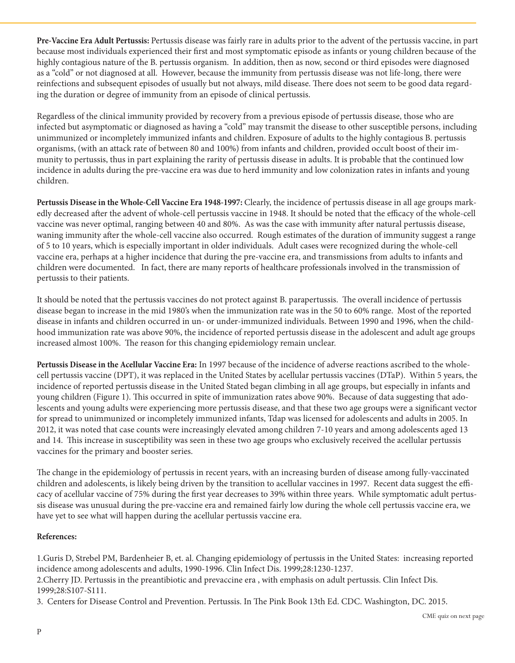**Pre-Vaccine Era Adult Pertussis:** Pertussis disease was fairly rare in adults prior to the advent of the pertussis vaccine, in part because most individuals experienced their first and most symptomatic episode as infants or young children because of the highly contagious nature of the B. pertussis organism. In addition, then as now, second or third episodes were diagnosed as a "cold" or not diagnosed at all. However, because the immunity from pertussis disease was not life-long, there were reinfections and subsequent episodes of usually but not always, mild disease. There does not seem to be good data regarding the duration or degree of immunity from an episode of clinical pertussis.

Regardless of the clinical immunity provided by recovery from a previous episode of pertussis disease, those who are infected but asymptomatic or diagnosed as having a "cold" may transmit the disease to other susceptible persons, including unimmunized or incompletely immunized infants and children. Exposure of adults to the highly contagious B. pertussis organisms, (with an attack rate of between 80 and 100%) from infants and children, provided occult boost of their immunity to pertussis, thus in part explaining the rarity of pertussis disease in adults. It is probable that the continued low incidence in adults during the pre-vaccine era was due to herd immunity and low colonization rates in infants and young children.

**Pertussis Disease in the Whole-Cell Vaccine Era 1948-1997:** Clearly, the incidence of pertussis disease in all age groups markedly decreased after the advent of whole-cell pertussis vaccine in 1948. It should be noted that the efficacy of the whole-cell vaccine was never optimal, ranging between 40 and 80%. As was the case with immunity after natural pertussis disease, waning immunity after the whole-cell vaccine also occurred. Rough estimates of the duration of immunity suggest a range of 5 to 10 years, which is especially important in older individuals. Adult cases were recognized during the whole-cell vaccine era, perhaps at a higher incidence that during the pre-vaccine era, and transmissions from adults to infants and children were documented. In fact, there are many reports of healthcare professionals involved in the transmission of pertussis to their patients.

It should be noted that the pertussis vaccines do not protect against B. parapertussis. The overall incidence of pertussis disease began to increase in the mid 1980's when the immunization rate was in the 50 to 60% range. Most of the reported disease in infants and children occurred in un- or under-immunized individuals. Between 1990 and 1996, when the childhood immunization rate was above 90%, the incidence of reported pertussis disease in the adolescent and adult age groups increased almost 100%. The reason for this changing epidemiology remain unclear.

**Pertussis Disease in the Acellular Vaccine Era:** In 1997 because of the incidence of adverse reactions ascribed to the wholecell pertussis vaccine (DPT), it was replaced in the United States by acellular pertussis vaccines (DTaP). Within 5 years, the incidence of reported pertussis disease in the United Stated began climbing in all age groups, but especially in infants and young children (Figure 1). This occurred in spite of immunization rates above 90%. Because of data suggesting that adolescents and young adults were experiencing more pertussis disease, and that these two age groups were a significant vector for spread to unimmunized or incompletely immunized infants, Tdap was licensed for adolescents and adults in 2005. In 2012, it was noted that case counts were increasingly elevated among children 7-10 years and among adolescents aged 13 and 14. This increase in susceptibility was seen in these two age groups who exclusively received the acellular pertussis vaccines for the primary and booster series.

The change in the epidemiology of pertussis in recent years, with an increasing burden of disease among fully-vaccinated children and adolescents, is likely being driven by the transition to acellular vaccines in 1997. Recent data suggest the efficacy of acellular vaccine of 75% during the first year decreases to 39% within three years. While symptomatic adult pertussis disease was unusual during the pre-vaccine era and remained fairly low during the whole cell pertussis vaccine era, we have yet to see what will happen during the acellular pertussis vaccine era.

## **References:**

1.Guris D, Strebel PM, Bardenheier B, et. al. Changing epidemiology of pertussis in the United States: increasing reported incidence among adolescents and adults, 1990-1996. Clin Infect Dis. 1999;28:1230-1237. 2.Cherry JD. Pertussis in the preantibiotic and prevaccine era , with emphasis on adult pertussis. Clin Infect Dis. 1999;28:S107-S111.

3. Centers for Disease Control and Prevention. Pertussis. In The Pink Book 13th Ed. CDC. Washington, DC. 2015.